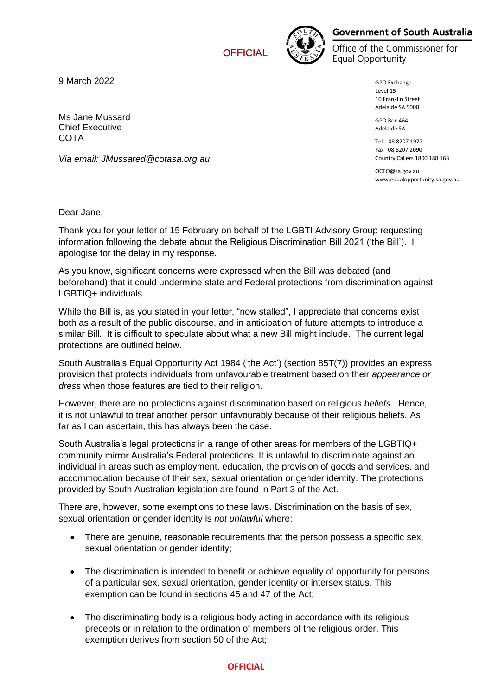**OFFICIAL** 



## **Government of South Australia**

Office of the Commissioner for **Equal Opportunity** 

> GPO Exchange Level 15 10 Franklin Street Adelaide SA 5000

GPO Box 464 Adelaide SA

Tel 08 8207 1977 Fax 08 8207 2090 Country Callers 1800 188 163

OCEO@sa.gov.au www.equalopportunity.sa.gov.au

9 March 2022

Ms Jane Mussard Chief Executive **COTA** 

*Via email: JMussared@cotasa.org.au*

Dear Jane,

Thank you for your letter of 15 February on behalf of the LGBTI Advisory Group requesting information following the debate about the Religious Discrimination Bill 2021 ('the Bill'). I apologise for the delay in my response.

As you know, significant concerns were expressed when the Bill was debated (and beforehand) that it could undermine state and Federal protections from discrimination against LGBTIQ+ individuals.

While the Bill is, as you stated in your letter, "now stalled", I appreciate that concerns exist both as a result of the public discourse, and in anticipation of future attempts to introduce a similar Bill. It is difficult to speculate about what a new Bill might include. The current legal protections are outlined below.

South Australia's Equal Opportunity Act 1984 ('the Act') (section 85T(7)) provides an express provision that protects individuals from unfavourable treatment based on their *appearance or dress* when those features are tied to their religion.

However, there are no protections against discrimination based on religious *beliefs*. Hence, it is not unlawful to treat another person unfavourably because of their religious beliefs. As far as I can ascertain, this has always been the case.

South Australia's legal protections in a range of other areas for members of the LGBTIQ+ community mirror Australia's Federal protections. It is unlawful to discriminate against an individual in areas such as employment, education, the provision of goods and services, and accommodation because of their sex, sexual orientation or gender identity. The protections provided by South Australian legislation are found in Part 3 of the Act.

There are, however, some exemptions to these laws. Discrimination on the basis of sex, sexual orientation or gender identity is *not unlawful* where:

- There are genuine, reasonable requirements that the person possess a specific sex, sexual orientation or gender identity;
- The discrimination is intended to benefit or achieve equality of opportunity for persons of a particular sex, sexual orientation, gender identity or intersex status. This exemption can be found in sections 45 and 47 of the Act;
- The discriminating body is a religious body acting in accordance with its religious precepts or in relation to the ordination of members of the religious order. This exemption derives from section 50 of the Act;

## **OFFICIAL**